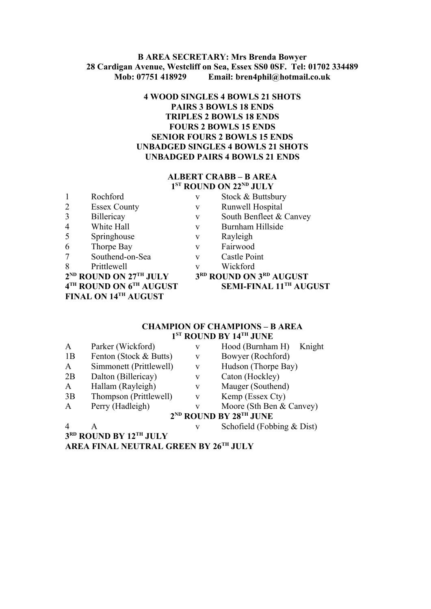### **B AREA SECRETARY: Mrs Brenda Bowyer 28 Cardigan Avenue, Westcliff on Sea, Essex SS0 0SF. Tel: 01702 334489 Mob: 07751 418929 Email: bren4phil@hotmail.co.uk**

## **4 WOOD SINGLES 4 BOWLS 21 SHOTS PAIRS 3 BOWLS 18 ENDS TRIPLES 2 BOWLS 18 ENDS FOURS 2 BOWLS 15 ENDS SENIOR FOURS 2 BOWLS 15 ENDS UNBADGED SINGLES 4 BOWLS 21 SHOTS UNBADGED PAIRS 4 BOWLS 21 ENDS**

## **ALBERT CRABB – B AREA 1 ST ROUND ON 22ND JULY**

| $\mathbf{1}$   | Rochford                           | V                       |
|----------------|------------------------------------|-------------------------|
| $\overline{2}$ | <b>Essex County</b>                | $\overline{\mathbf{V}}$ |
| 3              | Billericay                         | $\overline{\mathsf{V}}$ |
| $\overline{4}$ | White Hall                         | $\overline{\mathbf{V}}$ |
| 5              | Springhouse                        | $\overline{\mathbf{V}}$ |
| 6              | Thorpe Bay                         | $\overline{\mathbf{V}}$ |
| 7              | Southend-on-Sea                    | $\overline{\mathbf{V}}$ |
| 8              | Prittlewell                        | $\overline{\mathbf{V}}$ |
|                | 2 <sup>ND</sup> ROUND ON 27TH JULY | 3                       |
|                | 4TH ROUND ON 6TH AUGUST            |                         |
|                | FINAL ON 14TH AUGUST               |                         |

v Stock & Buttsbury

- v Runwell Hospital
- v South Benfleet & Canvey
- v Burnham Hillside
- v Rayleigh
- v Fairwood
- v Castle Point
- v Wickford
	-
- **RD ROUND ON 3RD AUGUST ST SEMI-FINAL 11<sup>TH</sup> AUGUST**

## **CHAMPION OF CHAMPIONS – B AREA 1 ST ROUND BY 14TH JUNE**

| $\mathbf{A}$          | Parker (Wickford)       | V | Hood (Burnham H) Knight                        |
|-----------------------|-------------------------|---|------------------------------------------------|
| 1B                    | Fenton (Stock & Butts)  | V | Bowyer (Rochford)                              |
| $\mathbf{A}$          | Simmonett (Prittlewell) | V | Hudson (Thorpe Bay)                            |
| 2B                    | Dalton (Billericay)     | V | Caton (Hockley)                                |
| $\mathbf{A}$          | Hallam (Rayleigh)       | V | Mauger (Southend)                              |
| 3B                    | Thompson (Prittlewell)  | V | Kemp (Essex Cty)                               |
| $\mathbf{A}$          | Perry (Hadleigh)        | v | Moore (Sth Ben & Canvey)                       |
|                       |                         |   | 2 <sup>ND</sup> ROUND BY 28 <sup>TH</sup> JUNE |
| $\boldsymbol{\Delta}$ |                         | v | Schofield (Fobbing $& Dist$ )                  |

**3 RD ROUND BY 12TH JULY**

**AREA FINAL NEUTRAL GREEN BY 26TH JULY**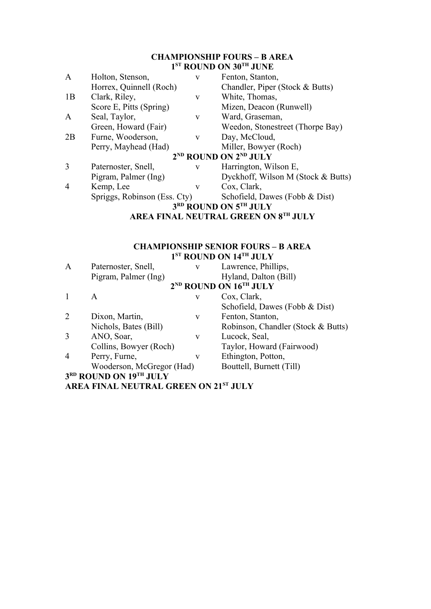# **CHAMPIONSHIP FOURS – B AREA 1 ST ROUND ON 30TH JUNE**

| $\mathbf{A}$   | Holton, Stenson,             | V            | Fenton, Stanton,                              |
|----------------|------------------------------|--------------|-----------------------------------------------|
|                | Horrex, Quinnell (Roch)      |              | Chandler, Piper (Stock & Butts)               |
| 1B             | Clark, Riley,                | V            | White, Thomas,                                |
|                | Score E, Pitts (Spring)      |              | Mizen, Deacon (Runwell)                       |
| A              | Seal, Taylor,                | V            | Ward, Graseman,                               |
|                | Green, Howard (Fair)         |              | Weedon, Stonestreet (Thorpe Bay)              |
| 2B             | Furne, Wooderson,            | $\mathbf{V}$ | Day, McCloud,                                 |
|                | Perry, Mayhead (Had)         |              | Miller, Bowyer (Roch)                         |
|                |                              |              | 2 <sup>ND</sup> ROUND ON 2 <sup>ND</sup> JULY |
| 3              | Paternoster, Snell,          | $\mathbf{V}$ | Harrington, Wilson E,                         |
|                | Pigram, Palmer (Ing)         |              | Dyckhoff, Wilson M (Stock & Butts)            |
| $\overline{4}$ | Kemp, Lee                    | V            | Cox, Clark,                                   |
|                | Spriggs, Robinson (Ess. Cty) |              | Schofield, Dawes (Fobb & Dist)                |
|                |                              |              | 3RD ROUND ON 5TH JULY                         |
|                |                              |              | <b>AREA FINAL NEUTRAL GREEN ON 8TH JULY</b>   |

#### **CHAMPIONSHIP SENIOR FOURS – B AREA 1 ST ROUND ON 14TH JULY**

| $\mathbf{A}$   | Paternoster, Snell,       | V | Lawrence, Phillips,                            |
|----------------|---------------------------|---|------------------------------------------------|
|                | Pigram, Palmer (Ing)      |   | Hyland, Dalton (Bill)                          |
|                |                           |   | 2 <sup>ND</sup> ROUND ON 16 <sup>TH</sup> JULY |
|                | A                         | V | Cox, Clark,                                    |
|                |                           |   | Schofield, Dawes (Fobb & Dist)                 |
| $\overline{2}$ | Dixon, Martin,            | V | Fenton, Stanton,                               |
|                | Nichols, Bates (Bill)     |   | Robinson, Chandler (Stock & Butts)             |
| 3              | ANO, Soar,                | V | Lucock, Seal,                                  |
|                | Collins, Bowyer (Roch)    |   | Taylor, Howard (Fairwood)                      |
| 4              | Perry, Furne,             | V | Ethington, Potton,                             |
|                | Wooderson, McGregor (Had) |   | Bouttell, Burnett (Till)                       |
|                | 3RD ROUND ON 19TH JULY    |   |                                                |
|                |                           |   |                                                |

**AREA FINAL NEUTRAL GREEN ON 21ST JULY**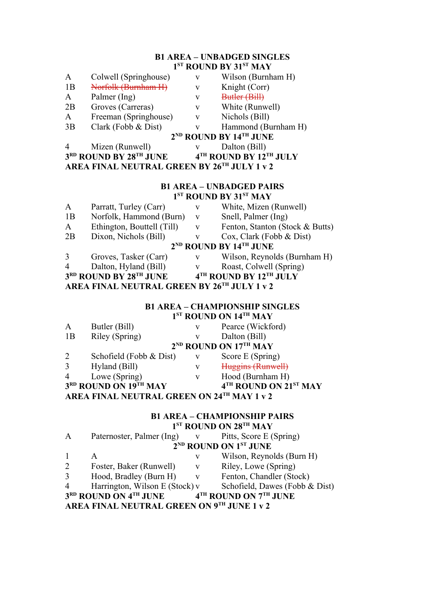## **B1 AREA – UNBADGED SINGLES 1 ST ROUND BY 31ST MAY**

| A                                                                        | Colwell (Springhouse)                          | V | Wilson (Burnham H)  |  |
|--------------------------------------------------------------------------|------------------------------------------------|---|---------------------|--|
| 1B                                                                       | Norfolk (Burnham H)                            | V | Knight (Corr)       |  |
| A                                                                        | Palmer (Ing)                                   | v | Butler (Bill)       |  |
| 2Β                                                                       | Groves (Carreras)                              | V | White (Runwell)     |  |
| Α                                                                        | Freeman (Springhouse)                          | V | Nichols (Bill)      |  |
| 3B                                                                       | Clark (Fobb & Dist)                            | v | Hammond (Burnham H) |  |
|                                                                          | 2 <sup>ND</sup> ROUND BY 14 <sup>TH</sup> JUNE |   |                     |  |
| 4                                                                        | Mizen (Runwell)                                |   | Dalton (Bill)       |  |
| 3 <sup>rd</sup> ROUND BY 28 <sup>th</sup> JUNE<br>4TH ROUND BY 12TH JULY |                                                |   |                     |  |
| AREA FINAL NEUTRAL GREEN BY 26TH JULY 1 v 2                              |                                                |   |                     |  |

#### **B1 AREA – UNBADGED PAIRS 1 ST ROUND BY 31ST MAY**

| A  | Parratt, Turley (Carr)     | V | White, Mizen (Runwell)           |
|----|----------------------------|---|----------------------------------|
| 1B | Norfolk, Hammond (Burn)    | V | Snell, Palmer (Ing)              |
| A  | Ethington, Bouttell (Till) | V | Fenton, Stanton (Stock & Butts)  |
| 2B | Dixon, Nichols (Bill)      |   | $Cox$ , Clark (Fobb & Dist)      |
|    |                            |   | $2^{ND}$ ROUND BY $14^{TH}$ JUNE |
| 3  | Groves, Tasker (Carr)      | V | Wilson, Reynolds (Burnham H)     |
| 4  | Dalton, Hyland (Bill)      |   | Roast, Colwell (Spring)          |
|    | 3RD ROUND BY 28TH JUNE     |   | 4TH ROUND BY 12TH JULY           |
|    |                            |   | $\mathbf{r}$                     |

**AREA FINAL NEUTRAL GREEN BY 26TH JULY 1 v 2**

## **B1 AREA – CHAMPIONSHIP SINGLES 1 ST ROUND ON 14TH MAY**

| A                                          | Butler (Bill)           | v | Pearce (Wickford)                 |
|--------------------------------------------|-------------------------|---|-----------------------------------|
| 1B                                         | Riley (Spring)          | v | Dalton (Bill)                     |
|                                            |                         |   | 2 <sup>ND</sup> ROUND ON 17TH MAY |
| 2                                          | Schofield (Fobb & Dist) | v | Score E (Spring)                  |
| 3                                          | Hyland (Bill)           | v | Huggins (Runwell)                 |
| $\overline{4}$                             | Lowe (Spring)           | v | Hood (Burnham H)                  |
|                                            | 3RD ROUND ON 19TH MAY   |   | 4TH ROUND ON 21ST MAY             |
| AREA FINAL NEUTRAL GREEN ON 24TH MAY 1 v 2 |                         |   |                                   |

## **B1 AREA – CHAMPIONSHIP PAIRS 1 ST ROUND ON 28TH MAY**

| A              | Paternoster, Palmer (Ing)                  |              | Pitts, Score E (Spring)                       |
|----------------|--------------------------------------------|--------------|-----------------------------------------------|
|                |                                            |              | 2 <sup>ND</sup> ROUND ON 1 <sup>ST</sup> JUNE |
|                |                                            | V            | Wilson, Reynolds (Burn H)                     |
| 2              | Foster, Baker (Runwell)                    | $\mathbf{V}$ | Riley, Lowe (Spring)                          |
| 3              | Hood, Bradley (Burn H)                     | $\mathbf{V}$ | Fenton, Chandler (Stock)                      |
| $\overline{4}$ | Harrington, Wilson E (Stock) v             |              | Schofield, Dawes (Fobb & Dist)                |
|                | 3RD ROUND ON 4TH JUNE                      |              | 4 <sup>TH</sup> ROUND ON 7TH JUNE             |
|                | AREA FINAL NEUTRAL GREEN ON 9TH JUNE 1 v 2 |              |                                               |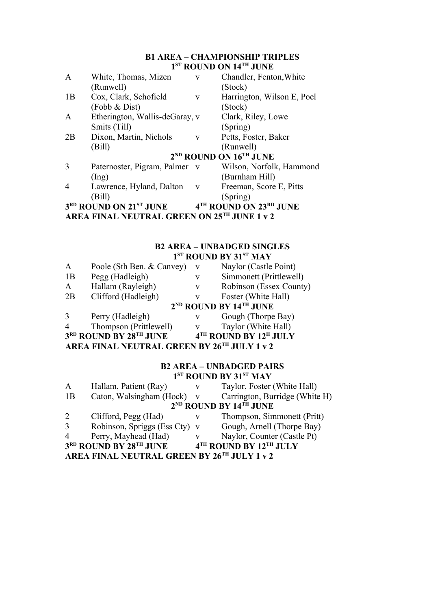# **B1 AREA – CHAMPIONSHIP TRIPLES 1 ST ROUND ON 14TH JUNE**

| $\mathbf{A}$ | White, Thomas, Mizen                           | $\mathbf{V}$ | Chandler, Fenton, White                        |
|--------------|------------------------------------------------|--------------|------------------------------------------------|
|              | (Runwell)                                      |              | (Stock)                                        |
| 1B           | Cox, Clark, Schofield                          | V            | Harrington, Wilson E, Poel                     |
|              | (Fobb & Dist)                                  |              | (Stock)                                        |
| A            | Etherington, Wallis-deGaray, v                 |              | Clark, Riley, Lowe                             |
|              | Smits (Till)                                   |              | (Spring)                                       |
| 2B           | Dixon, Martin, Nichols                         | V            | Petts, Foster, Baker                           |
|              | (Bill)                                         |              | (Runwell)                                      |
|              |                                                |              | 2 <sup>ND</sup> ROUND ON 16 <sup>TH</sup> JUNE |
| 3            | Paternoster, Pigram, Palmer v                  |              | Wilson, Norfolk, Hammond                       |
|              | $($ Ing $)$                                    |              | (Burnham Hill)                                 |
| 4            | Lawrence, Hyland, Dalton                       | $\mathbf{V}$ | Freeman, Score E, Pitts                        |
|              | (Bill)                                         |              | (Spring)                                       |
|              | 3 <sup>RD</sup> ROUND ON 21 <sup>ST</sup> JUNE |              | 4TH ROUND ON 23RD JUNE                         |
|              | AREA FINAL NEUTRAL GREEN ON 25TH JUNE 1 v 2    |              |                                                |

#### **B2 AREA – UNBADGED SINGLES 1 ST ROUND BY 31ST MAY**

| $\mathbf{A}$ | Poole (Sth Ben. & Canvey)                   | V | Naylor (Castle Point)                          |
|--------------|---------------------------------------------|---|------------------------------------------------|
| 1B           | Pegg (Hadleigh)                             | v | Simmonett (Prittlewell)                        |
| $\mathbf{A}$ | Hallam (Rayleigh)                           | V | Robinson (Essex County)                        |
| 2B           | Clifford (Hadleigh)                         | V | Foster (White Hall)                            |
|              |                                             |   | 2 <sup>ND</sup> ROUND BY 14 <sup>TH</sup> JUNE |
| 3            | Perry (Hadleigh)                            | V | Gough (Thorpe Bay)                             |
| 4            | Thompson (Prittlewell)                      | V | Taylor (White Hall)                            |
|              | 3RD ROUND BY 28TH JUNE                      |   | 4TH ROUND BY 12H JULY                          |
|              | AREA FINAL NEUTRAL GREEN BY 26TH JULY 1 v 2 |   |                                                |

#### **B2 AREA – UNBADGED PAIRS 1 ST ROUND BY 31ST MAY**

| $\boldsymbol{A}$                            | Hallam, Patient (Ray)         | V            | Taylor, Foster (White Hall)      |
|---------------------------------------------|-------------------------------|--------------|----------------------------------|
| 1B                                          | Caton, Walsingham (Hock)      | $\mathbf{V}$ | Carrington, Burridge (White H)   |
|                                             |                               |              | $2^{ND}$ ROUND BY $14^{TH}$ JUNE |
| 2                                           | Clifford, Pegg (Had)          | V            | Thompson, Simmonett (Pritt)      |
| 3                                           | Robinson, Spriggs (Ess Cty) v |              | Gough, Arnell (Thorpe Bay)       |
| $\overline{4}$                              | Perry, Mayhead (Had)          | V            | Naylor, Counter (Castle Pt)      |
|                                             | 3RD ROUND BY 28TH JUNE        |              | 4TH ROUND BY 12TH JULY           |
| AREA FINAL NEUTRAL GREEN BY 26TH JULY 1 v 2 |                               |              |                                  |